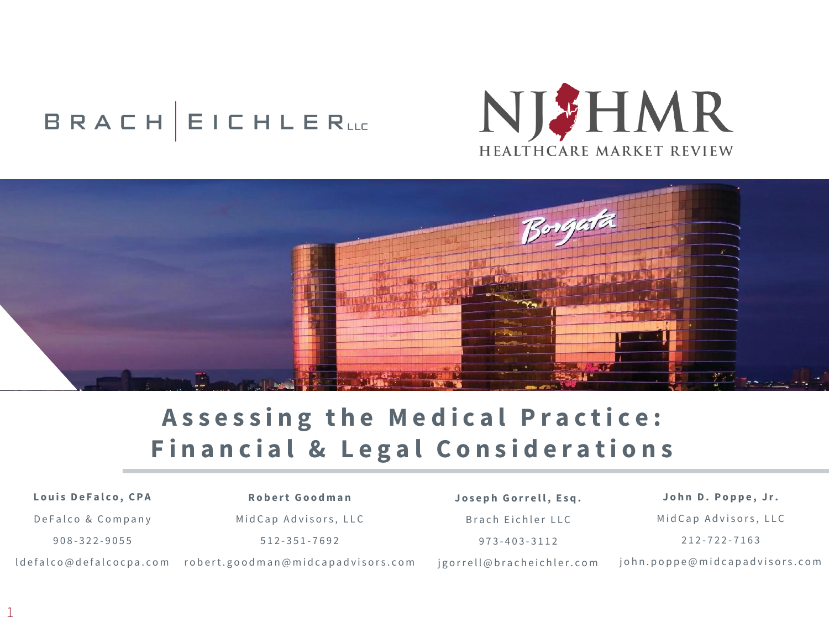# **BRACH EICHLERLLE**





# Assessing the Medical Practice: **Financial & Legal Considerations**

# Louis De Falco, CPA

**R o b e r t G o o d m a n**

De Falco & Company

908 - 322 - 9055

Mid Cap Advisors, LLC

512 - 351 - 7692

Joseph Gorrell, Esq. Brach Eichler LLC 973 - 403 - 3112

ldefalco@defalcocpa.com robert.goodman@midcapadvisors.com jgorrell@bracheichler.com

John D. Poppe, Jr. Mid Cap Advisors, LLC 212 - 722 - 7163

john.poppe@midcapadvisors.com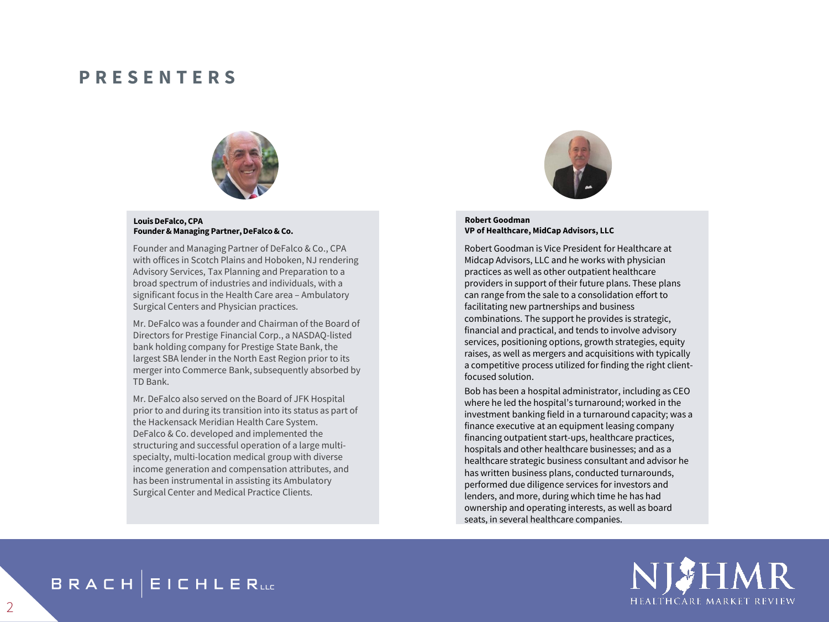#### **P R E S E N T E R S**



#### **Louis DeFalco, CPA Founder & Managing Partner, DeFalco & Co.**

Founder and Managing Partner of DeFalco & Co., CPA with offices in Scotch Plains and Hoboken, NJ rendering Advisory Services, Tax Planning and Preparation to a broad spectrum of industries and individuals, with a significant focus in the Health Care area – Ambulatory Surgical Centers and Physician practices.

Mr. DeFalco was a founder and Chairman of the Board of Directors for Prestige Financial Corp., a NASDAQ-listed bank holding company for Prestige State Bank, the largest SBA lender in the North East Region prior to its merger into Commerce Bank, subsequently absorbed by TD Bank.

Mr. DeFalco also served on the Board of JFK Hospital prior to and during its transition into its status as part of the Hackensack Meridian Health Care System. DeFalco & Co. developed and implemented the structuring and successful operation of a large multispecialty, multi-location medical group with diverse income generation and compensation attributes, and has been instrumental in assisting its Ambulatory Surgical Center and Medical Practice Clients.



#### **Robert Goodman VP of Healthcare, MidCap Advisors, LLC**

Robert Goodman is Vice President for Healthcare at Midcap Advisors, LLC and he works with physician practices as well as other outpatient healthcare providers in support of their future plans. These plans can range from the sale to a consolidation effort to facilitating new partnerships and business combinations. The support he provides is strategic, financial and practical, and tends to involve advisory services, positioning options, growth strategies, equity raises, as well as mergers and acquisitions with typically a competitive process utilized for finding the right clientfocused solution.

Bob has been a hospital administrator, including as CEO where he led the hospital's turnaround; worked in the investment banking field in a turnaround capacity; was a finance executive at an equipment leasing company financing outpatient start-ups, healthcare practices, hospitals and other healthcare businesses; and as a healthcare strategic business consultant and advisor he has written business plans, conducted turnarounds, performed due diligence services for investors and lenders, and more, during which time he has had ownership and operating interests, as well as board seats, in several healthcare companies.



**BRACH EICHLERLLE**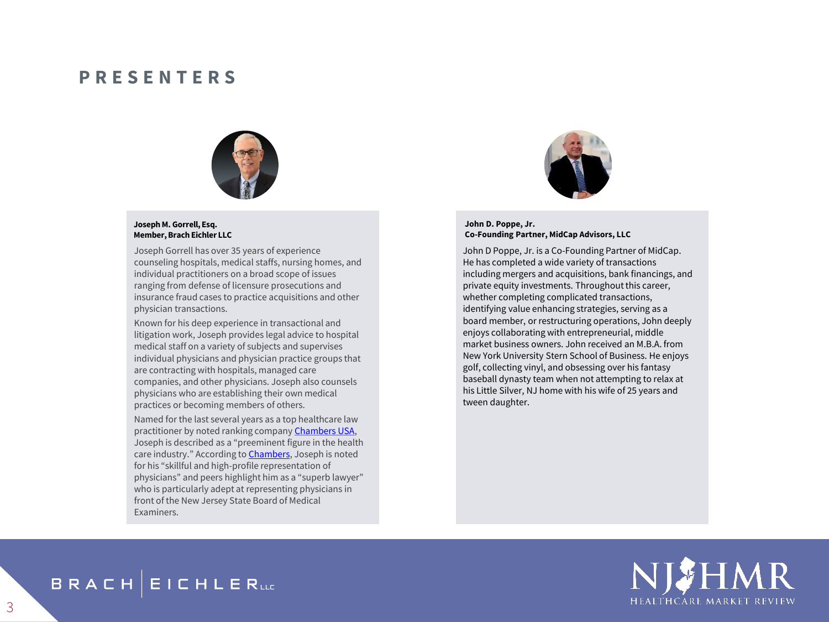#### **P R E S E N T E R S**



#### **Joseph M. Gorrell, Esq. Member, Brach Eichler LLC**

Joseph Gorrell has over 35 years of experience counseling hospitals, medical staffs, nursing homes, and individual practitioners on a broad scope of issues ranging from defense of licensure prosecutions and insurance fraud cases to practice acquisitions and other physician transactions.

Known for his deep experience in transactional and litigation work, Joseph provides legal advice to hospital medical staff on a variety of subjects and supervises individual physicians and physician practice groups that are contracting with hospitals, managed care companies, and other physicians. Joseph also counsels physicians who are establishing their own medical practices or becoming members of others.

Named for the last several years as a top healthcare law practitioner by noted ranking company [Chambers USA](https://www.bracheichler.com/honors-and-awards/), Joseph is described as a "preeminent figure in the health care industry." According to **Chambers**, Joseph is noted for his "skillful and high-profile representation of physicians" and peers highlight him as a "superb lawyer" who is particularly adept at representing physicians in front of the New Jersey State Board of Medical Examiners.



#### **John D. Poppe, Jr. Co-Founding Partner, MidCap Advisors, LLC**

John D Poppe, Jr. is a Co-Founding Partner of MidCap. He has completed a wide variety of transactions including mergers and acquisitions, bank financings, and private equity investments. Throughout this career, whether completing complicated transactions, identifying value enhancing strategies, serving as a board member, or restructuring operations, John deeply enjoys collaborating with entrepreneurial, middle market business owners. John received an M.B.A. from New York University Stern School of Business. He enjoys golf, collecting vinyl, and obsessing over his fantasy baseball dynasty team when not attempting to relax at his Little Silver, NJ home with his wife of 25 years and tween daughter.



## **BRACH EICHLERLLE**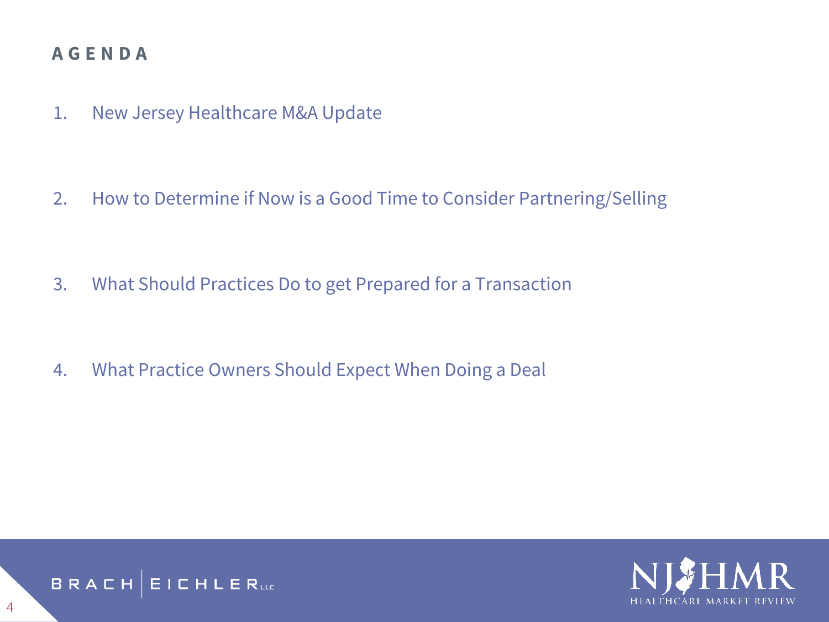## **A G E N D A**

1. New Jersey Healthcare M&A Update

2. How to Determine if Now is a Good Time to Consider Partnering/Selling

- 3. What Should Practices Do to get Prepared for a Transaction
- 4. What Practice Owners Should Expect When Doing a Deal



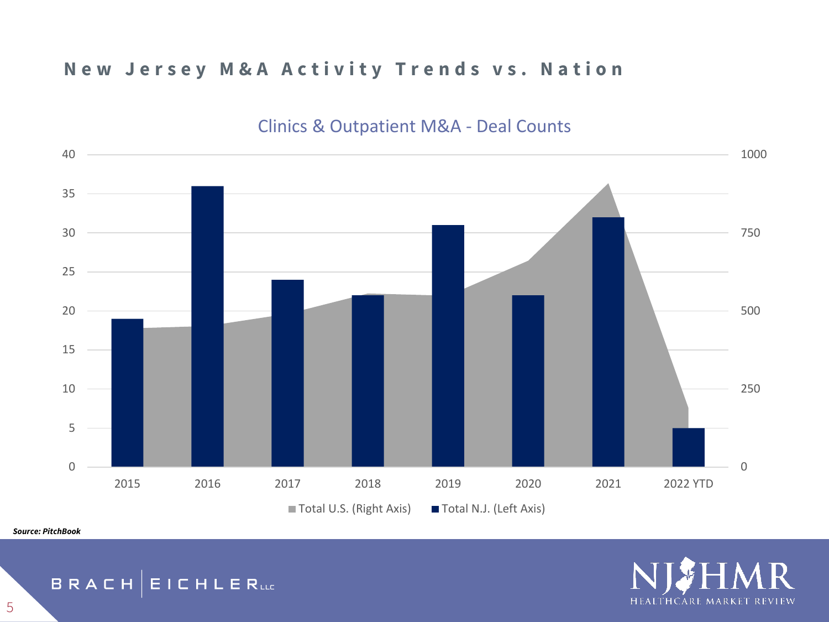## **New Jersey M&A Activity Trends vs. Nation**



## Clinics & Outpatient M&A - Deal Counts

*Source: PitchBook*



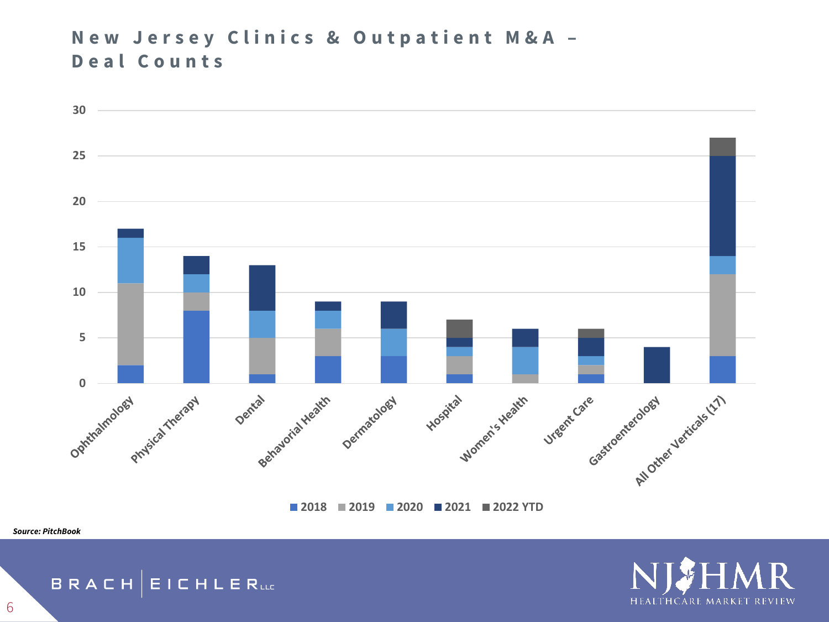## **New Jersey Clinics & Outpatient M&A -D e a l C o u n t s**



**2019 2020 2021 2022 YTD**

HEALTHCARE MARKET REVIEW

*Source: PitchBook*

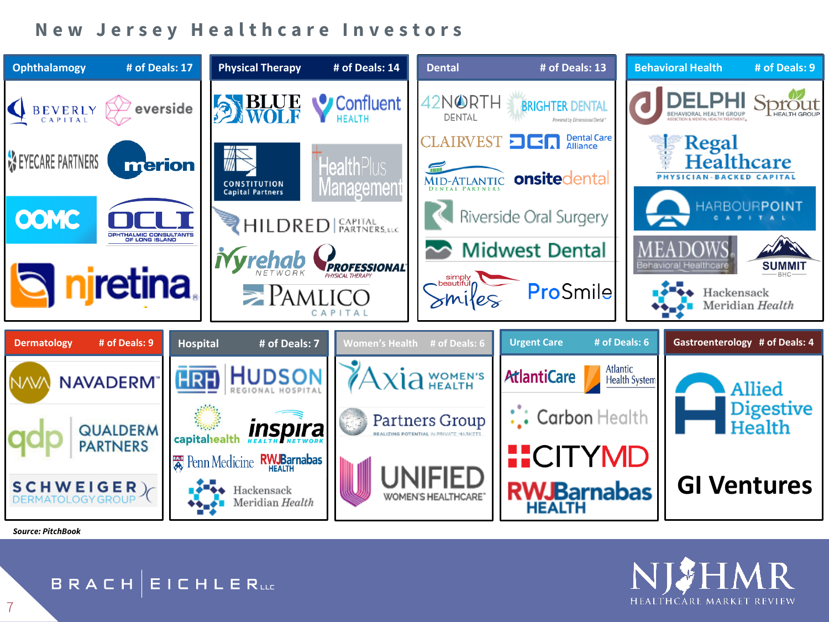### **New Jersey Healthcare Investors**



*Source: PitchBook*

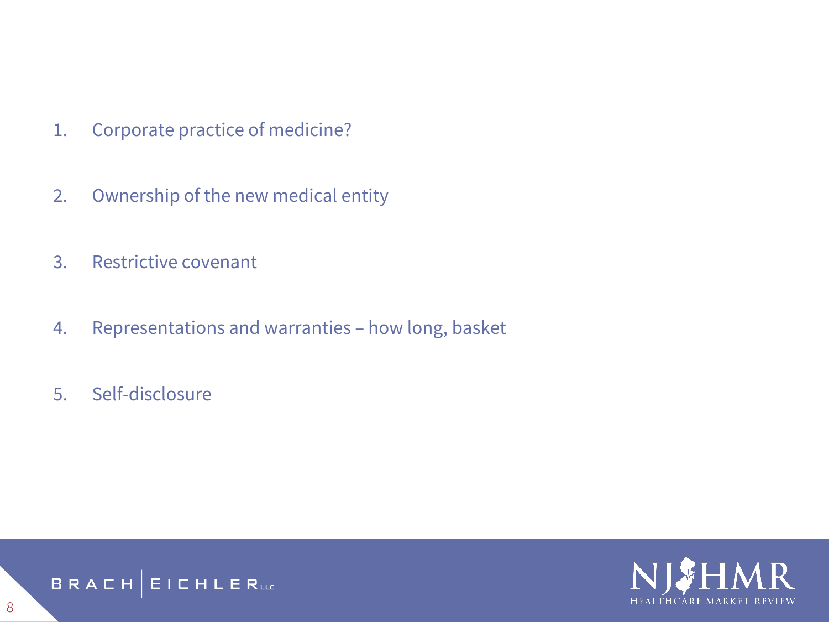- 1. Corporate practice of medicine?
- 2. Ownership of the new medical entity
- 3. Restrictive covenant
- 4. Representations and warranties how long, basket
- 5. Self-disclosure



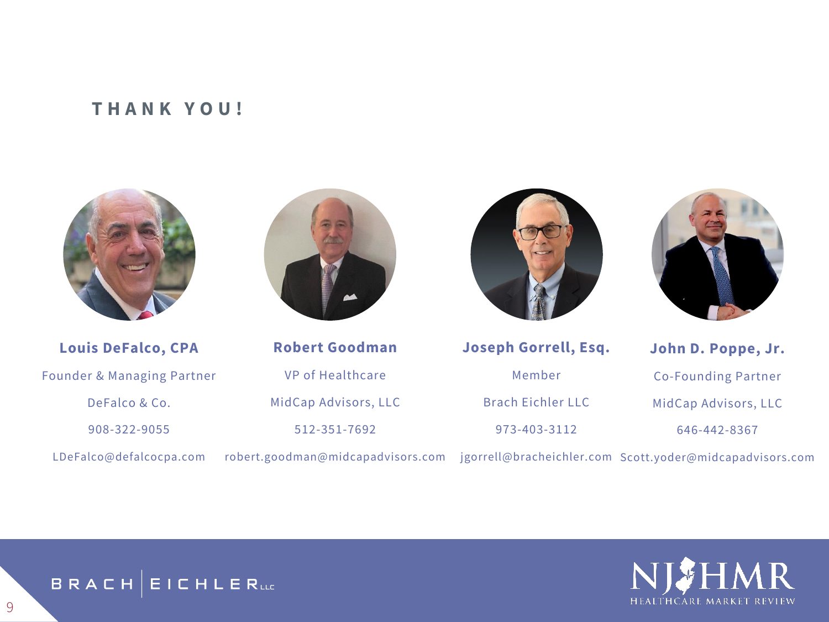#### **T H A N K Y O U !**



**Louis DeFalco, CPA** Founder & Managing Partner DeFalco & Co. 908-322-9055 LDeFalco@defalcocpa.com



**Robert Goodman** VP of Healthcare MidCap Advisors, LLC 512-351-7692





**Joseph Gorrell, Esq.** Member Brach Eichler LLC 973-403-3112

**John D. Poppe, Jr.** Co-Founding Partner MidCap Advisors, LLC 646-442-8367

robert.goodman@midcapadvisors.com jgorrell@bracheichler.com Scott.yoder@midcapadvisors.com